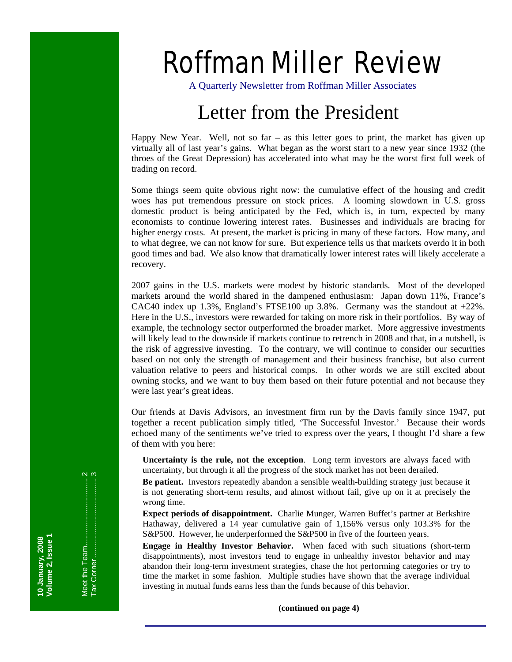# Roffman Miller Review

A Quarterly Newsletter from Roffman Miller Associates

# Letter from the President

Happy New Year. Well, not so far – as this letter goes to print, the market has given up virtually all of last year's gains. What began as the worst start to a new year since 1932 (the throes of the Great Depression) has accelerated into what may be the worst first full week of trading on record.

Some things seem quite obvious right now: the cumulative effect of the housing and credit woes has put tremendous pressure on stock prices. A looming slowdown in U.S. gross domestic product is being anticipated by the Fed, which is, in turn, expected by many economists to continue lowering interest rates. Businesses and individuals are bracing for higher energy costs. At present, the market is pricing in many of these factors. How many, and to what degree, we can not know for sure. But experience tells us that markets overdo it in both good times and bad. We also know that dramatically lower interest rates will likely accelerate a recovery.

2007 gains in the U.S. markets were modest by historic standards. Most of the developed markets around the world shared in the dampened enthusiasm: Japan down 11%, France's CAC40 index up 1.3%, England's FTSE100 up 3.8%. Germany was the standout at  $+22\%$ . Here in the U.S., investors were rewarded for taking on more risk in their portfolios. By way of example, the technology sector outperformed the broader market. More aggressive investments will likely lead to the downside if markets continue to retrench in 2008 and that, in a nutshell, is the risk of aggressive investing. To the contrary, we will continue to consider our securities based on not only the strength of management and their business franchise, but also current valuation relative to peers and historical comps. In other words we are still excited about owning stocks, and we want to buy them based on their future potential and not because they were last year's great ideas.

Our friends at Davis Advisors, an investment firm run by the Davis family since 1947, put together a recent publication simply titled, 'The Successful Investor.' Because their words echoed many of the sentiments we've tried to express over the years, I thought I'd share a few of them with you here:

**Uncertainty is the rule, not the exception**. Long term investors are always faced with uncertainty, but through it all the progress of the stock market has not been derailed.

**Be patient.** Investors repeatedly abandon a sensible wealth-building strategy just because it is not generating short-term results, and almost without fail, give up on it at precisely the wrong time.

**Expect periods of disappointment.** Charlie Munger, Warren Buffet's partner at Berkshire Hathaway, delivered a 14 year cumulative gain of 1,156% versus only 103.3% for the S&P500. However, he underperformed the S&P500 in five of the fourteen years.

**Engage in Healthy Investor Behavior.** When faced with such situations (short-term disappointments), most investors tend to engage in unhealthy investor behavior and may abandon their long-term investment strategies, chase the hot performing categories or try to time the market in some fashion. Multiple studies have shown that the average individual investing in mutual funds earns less than the funds because of this behavior.

 **(continued on page 4)**

**Volume 2, Issue 1**  10 January, 2008<br>Volume 2, Issue 1 Meet the Team ................................ 2 Tax Corner ...................................... 3

Tax Corner………………………

 $\alpha$ 

**10 January, 2008**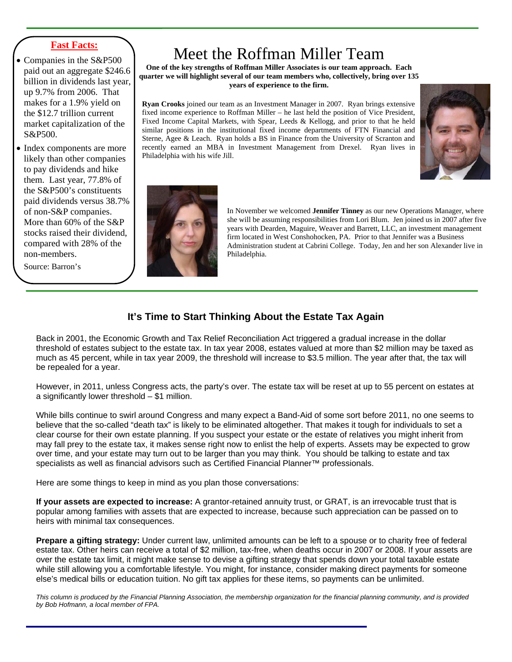#### **Fast Facts:**

- Companies in the S&P500 paid out an aggregate \$246.6 billion in dividends last year, up 9.7% from 2006. That makes for a 1.9% yield on the \$12.7 trillion current market capitalization of the S&P500.
- Index components are more likely than other companies to pay dividends and hike them. Last year, 77.8% of the S&P500's constituents paid dividends versus 38.7% of non-S&P companies. More than 60% of the S&P stocks raised their dividend, compared with 28% of the non-members.

Source: Barron's

# Meet the Roffman Miller Team

**One of the key strengths of Roffman Miller Associates is our team approach. Each quarter we will highlight several of our team members who, collectively, bring over 135 years of experience to the firm.** 

**Ryan Crooks** joined our team as an Investment Manager in 2007. Ryan brings extensive fixed income experience to Roffman Miller – he last held the position of Vice President, Fixed Income Capital Markets, with Spear, Leeds & Kellogg, and prior to that he held similar positions in the institutional fixed income departments of FTN Financial and Sterne, Agee & Leach. Ryan holds a BS in Finance from the University of Scranton and recently earned an MBA in Investment Management from Drexel. Ryan lives in Philadelphia with his wife Jill.





In November we welcomed **Jennifer Tinney** as our new Operations Manager, where she will be assuming responsibilities from Lori Blum. Jen joined us in 2007 after five years with Dearden, Maguire, Weaver and Barrett, LLC, an investment management firm located in West Conshohocken, PA. Prior to that Jennifer was a Business Administration student at Cabrini College. Today, Jen and her son Alexander live in Philadelphia.

### **It's Time to Start Thinking About the Estate Tax Again**

Back in 2001, the Economic Growth and Tax Relief Reconciliation Act triggered a gradual increase in the dollar threshold of estates subject to the estate tax. In tax year 2008, estates valued at more than \$2 million may be taxed as much as 45 percent, while in tax year 2009, the threshold will increase to \$3.5 million. The year after that, the tax will be repealed for a year.

However, in 2011, unless Congress acts, the party's over. The estate tax will be reset at up to 55 percent on estates at a significantly lower threshold – \$1 million.

While bills continue to swirl around Congress and many expect a Band-Aid of some sort before 2011, no one seems to believe that the so-called "death tax" is likely to be eliminated altogether. That makes it tough for individuals to set a clear course for their own estate planning. If you suspect your estate or the estate of relatives you might inherit from may fall prey to the estate tax, it makes sense right now to enlist the help of experts. Assets may be expected to grow over time, and your estate may turn out to be larger than you may think. You should be talking to estate and tax specialists as well as financial advisors such as Certified Financial Planner™ professionals.

Here are some things to keep in mind as you plan those conversations:

**If your assets are expected to increase:** A grantor-retained annuity trust, or GRAT, is an irrevocable trust that is popular among families with assets that are expected to increase, because such appreciation can be passed on to heirs with minimal tax consequences.

**Prepare a gifting strategy:** Under current law, unlimited amounts can be left to a spouse or to charity free of federal estate tax. Other heirs can receive a total of \$2 million, tax-free, when deaths occur in 2007 or 2008. If your assets are over the estate tax limit, it might make sense to devise a gifting strategy that spends down your total taxable estate while still allowing you a comfortable lifestyle. You might, for instance, consider making direct payments for someone else's medical bills or education tuition. No gift tax applies for these items, so payments can be unlimited.

*This column is produced by the Financial Planning Association, the membership organization for the financial planning community, and is provided by Bob Hofmann, a local member of FPA.*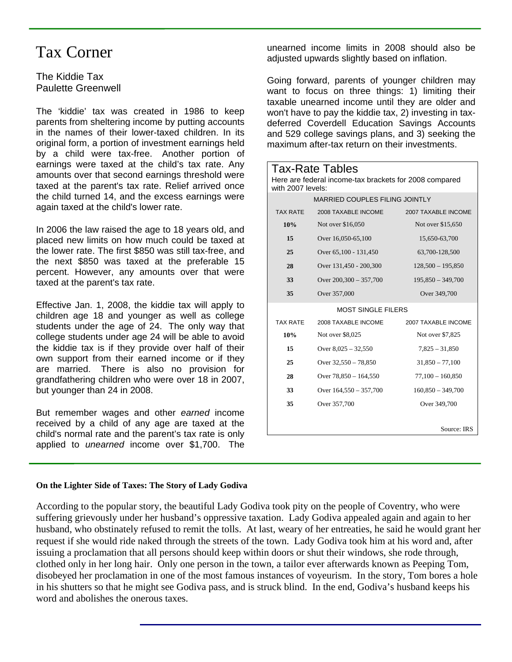### Tax Corner

The Kiddie Tax Paulette Greenwell

The 'kiddie' tax was created in 1986 to keep parents from sheltering income by putting accounts in the names of their lower-taxed children. In its original form, a portion of investment earnings held by a child were tax-free. Another portion of earnings were taxed at the child's tax rate. Any amounts over that second earnings threshold were taxed at the parent's tax rate. Relief arrived once the child turned 14, and the excess earnings were again taxed at the child's lower rate.

In 2006 the law raised the age to 18 years old, and placed new limits on how much could be taxed at the lower rate. The first \$850 was still tax-free, and the next \$850 was taxed at the preferable 15 percent. However, any amounts over that were taxed at the parent's tax rate.

Effective Jan. 1, 2008, the kiddie tax will apply to children age 18 and younger as well as college students under the age of 24. The only way that college students under age 24 will be able to avoid the kiddie tax is if they provide over half of their own support from their earned income or if they are married. There is also no provision for grandfathering children who were over 18 in 2007, but younger than 24 in 2008.

But remember wages and other *earned* income received by a child of any age are taxed at the child's normal rate and the parent's tax rate is only applied to *unearned* income over \$1,700. The

unearned income limits in 2008 should also be adjusted upwards slightly based on inflation.

Going forward, parents of younger children may want to focus on three things: 1) limiting their taxable unearned income until they are older and won't have to pay the kiddie tax, 2) investing in taxdeferred Coverdell Education Savings Accounts and 529 college savings plans, and 3) seeking the maximum after-tax return on their investments.

| Tax-Rate Tables<br>Here are federal income-tax brackets for 2008 compared<br>with 2007 levels: |                          |                     |
|------------------------------------------------------------------------------------------------|--------------------------|---------------------|
| MARRIED COUPLES FILING JOINTLY                                                                 |                          |                     |
| <b>TAX RATE</b>                                                                                | 2008 TAXABLE INCOME      | 2007 TAXABLE INCOME |
| 10%                                                                                            | Not over \$16,050        | Not over \$15,650   |
| 15                                                                                             | Over 16,050-65,100       | 15,650-63,700       |
| 25                                                                                             | Over 65,100 - 131,450    | 63,700-128,500      |
| 28                                                                                             | Over 131,450 - 200,300   | $128,500 - 195,850$ |
| 33                                                                                             | Over $200,300 - 357,700$ | $195,850 - 349,700$ |
| 35                                                                                             | Over 357,000             | Over 349,700        |
| <b>MOST SINGLE FILERS</b>                                                                      |                          |                     |
| <b>TAX RATE</b>                                                                                | 2008 TAXABLE INCOME      | 2007 TAXABLE INCOME |
| 10%                                                                                            | Not over \$8,025         | Not over \$7,825    |
| 15                                                                                             | Over $8,025 - 32,550$    | $7,825 - 31,850$    |
| 25                                                                                             | Over 32,550 - 78,850     | $31,850 - 77,100$   |
| 28                                                                                             | Over $78,850 - 164,550$  | $77,100 - 160,850$  |
| 33                                                                                             | Over $164,550 - 357,700$ | $160,850 - 349,700$ |
| 35                                                                                             | Over 357,700             | Over 349,700        |
|                                                                                                |                          | Source: IRS         |

#### **On the Lighter Side of Taxes: The Story of Lady Godiva**

According to the popular story, the beautiful Lady Godiva took pity on the people of Coventry, who were suffering grievously under her husband's oppressive taxation. Lady Godiva appealed again and again to her husband, who obstinately refused to remit the tolls. At last, weary of her entreaties, he said he would grant her request if she would ride naked through the streets of the town. Lady Godiva took him at his word and, after issuing a proclamation that all persons should keep within doors or shut their windows, she rode through, clothed only in her long hair. Only one person in the town, a tailor ever afterwards known as Peeping Tom, disobeyed her proclamation in one of the most famous instances of voyeurism. In the story, Tom bores a hole in his shutters so that he might see Godiva pass, and is struck blind. In the end, Godiva's husband keeps his word and abolishes the onerous taxes.